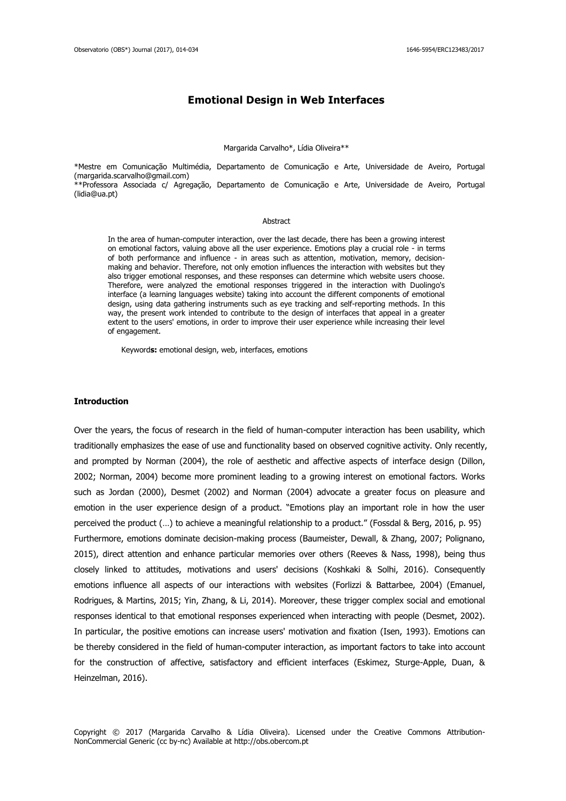# **Emotional Design in Web Interfaces**

#### Margarida Carvalho\*, Lídia Oliveira\*\*

\*Mestre em Comunicação Multimédia, Departamento de Comunicação e Arte, Universidade de Aveiro, Portugal [\(margarida.scarvalho@gmail.com\)](mailto:margarida.scarvalho@gmail.com) \*\*Professora Associada c/ Agregação, Departamento de Comunicação e Arte, Universidade de Aveiro, Portugal [\(lidia@ua.pt\)](mailto:lidia@ua.pt)

#### Abstract

In the area of human-computer interaction, over the last decade, there has been a growing interest on emotional factors, valuing above all the user experience. Emotions play a crucial role - in terms of both performance and influence - in areas such as attention, motivation, memory, decisionmaking and behavior. Therefore, not only emotion influences the interaction with websites but they also trigger emotional responses, and these responses can determine which website users choose. Therefore, were analyzed the emotional responses triggered in the interaction with Duolingo's interface (a learning languages website) taking into account the different components of emotional design, using data gathering instruments such as eye tracking and self-reporting methods. In this way, the present work intended to contribute to the design of interfaces that appeal in a greater extent to the users' emotions, in order to improve their user experience while increasing their level of engagement.

Keyword**s:** emotional design, web, interfaces, emotions

### **Introduction**

Over the years, the focus of research in the field of human-computer interaction has been usability, which traditionally emphasizes the ease of use and functionality based on observed cognitive activity. Only recently, and prompted by Norman (2004), the role of aesthetic and affective aspects of interface design (Dillon, 2002; Norman, 2004) become more prominent leading to a growing interest on emotional factors. Works such as Jordan (2000), Desmet (2002) and Norman (2004) advocate a greater focus on pleasure and emotion in the user experience design of a product. "Emotions play an important role in how the user perceived the product (…) to achieve a meaningful relationship to a product." (Fossdal & Berg, 2016, p. 95) Furthermore, emotions dominate decision-making process (Baumeister, Dewall, & Zhang, 2007; Polignano, 2015), direct attention and enhance particular memories over others (Reeves & Nass, 1998), being thus closely linked to attitudes, motivations and users' decisions (Koshkaki & Solhi, 2016). Consequently emotions influence all aspects of our interactions with websites (Forlizzi & Battarbee, 2004) (Emanuel, Rodrigues, & Martins, 2015; Yin, Zhang, & Li, 2014). Moreover, these trigger complex social and emotional responses identical to that emotional responses experienced when interacting with people (Desmet, 2002). In particular, the positive emotions can increase users' motivation and fixation (Isen, 1993). Emotions can be thereby considered in the field of human-computer interaction, as important factors to take into account for the construction of affective, satisfactory and efficient interfaces (Eskimez, Sturge-Apple, Duan, & Heinzelman, 2016).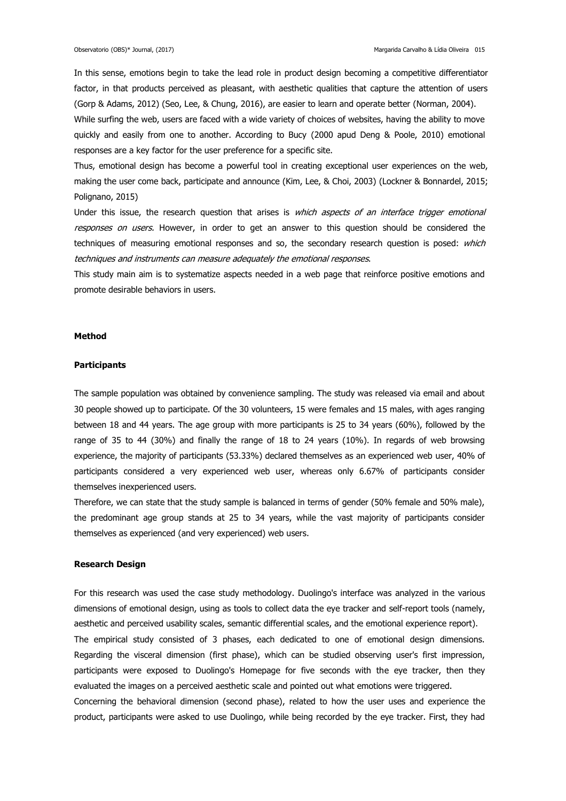In this sense, emotions begin to take the lead role in product design becoming a competitive differentiator factor, in that products perceived as pleasant, with aesthetic qualities that capture the attention of users (Gorp & Adams, 2012) (Seo, Lee, & Chung, 2016), are easier to learn and operate better (Norman, 2004).

While surfing the web, users are faced with a wide variety of choices of websites, having the ability to move quickly and easily from one to another. According to Bucy (2000 apud Deng & Poole, 2010) emotional responses are a key factor for the user preference for a specific site.

Thus, emotional design has become a powerful tool in creating exceptional user experiences on the web, making the user come back, participate and announce (Kim, Lee, & Choi, 2003) (Lockner & Bonnardel, 2015; Polignano, 2015)

Under this issue, the research question that arises is which aspects of an interface trigger emotional responses on users. However, in order to get an answer to this question should be considered the techniques of measuring emotional responses and so, the secondary research question is posed: which techniques and instruments can measure adequately the emotional responses.

This study main aim is to systematize aspects needed in a web page that reinforce positive emotions and promote desirable behaviors in users.

#### **Method**

#### **Participants**

The sample population was obtained by convenience sampling. The study was released via email and about 30 people showed up to participate. Of the 30 volunteers, 15 were females and 15 males, with ages ranging between 18 and 44 years. The age group with more participants is 25 to 34 years (60%), followed by the range of 35 to 44 (30%) and finally the range of 18 to 24 years (10%). In regards of web browsing experience, the majority of participants (53.33%) declared themselves as an experienced web user, 40% of participants considered a very experienced web user, whereas only 6.67% of participants consider themselves inexperienced users.

Therefore, we can state that the study sample is balanced in terms of gender (50% female and 50% male), the predominant age group stands at 25 to 34 years, while the vast majority of participants consider themselves as experienced (and very experienced) web users.

#### **Research Design**

For this research was used the case study methodology. Duolingo's interface was analyzed in the various dimensions of emotional design, using as tools to collect data the eye tracker and self-report tools (namely, aesthetic and perceived usability scales, semantic differential scales, and the emotional experience report). The empirical study consisted of 3 phases, each dedicated to one of emotional design dimensions. Regarding the visceral dimension (first phase), which can be studied observing user's first impression, participants were exposed to Duolingo's Homepage for five seconds with the eye tracker, then they evaluated the images on a perceived aesthetic scale and pointed out what emotions were triggered. Concerning the behavioral dimension (second phase), related to how the user uses and experience the product, participants were asked to use Duolingo, while being recorded by the eye tracker. First, they had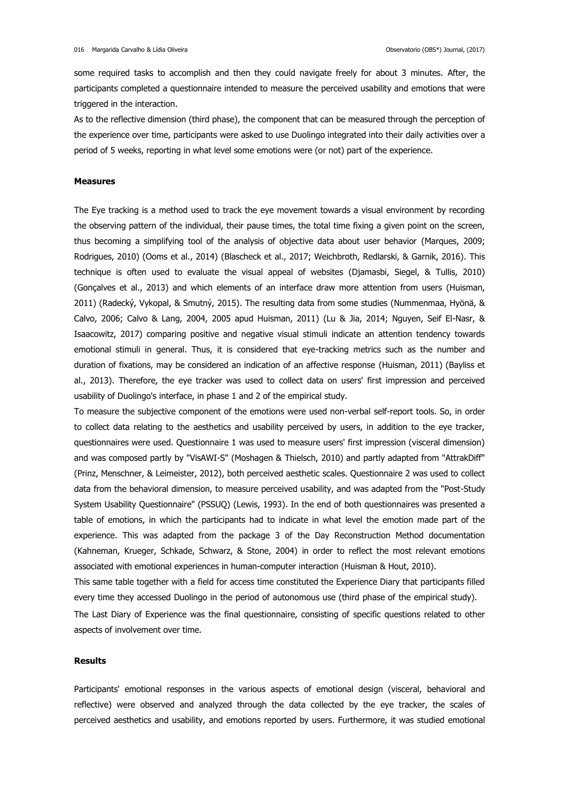some required tasks to accomplish and then they could navigate freely for about 3 minutes. After, the participants completed a questionnaire intended to measure the perceived usability and emotions that were triggered in the interaction.

As to the reflective dimension (third phase), the component that can be measured through the perception of the experience over time, participants were asked to use Duolingo integrated into their daily activities over a period of 5 weeks, reporting in what level some emotions were (or not) part of the experience.

### **Measures**

The Eye tracking is a method used to track the eye movement towards a visual environment by recording the observing pattern of the individual, their pause times, the total time fixing a given point on the screen, thus becoming a simplifying tool of the analysis of objective data about user behavior (Marques, 2009; Rodrigues, 2010) (Ooms et al., 2014) (Blascheck et al., 2017; Weichbroth, Redlarski, & Garnik, 2016). This technique is often used to evaluate the visual appeal of websites (Djamasbi, Siegel, & Tullis, 2010) (Gonçalves et al., 2013) and which elements of an interface draw more attention from users (Huisman, 2011) (Radecký, Vykopal, & Smutný, 2015). The resulting data from some studies (Nummenmaa, Hyönä, & Calvo, 2006; Calvo & Lang, 2004, 2005 apud Huisman, 2011) (Lu & Jia, 2014; Nguyen, Seif El-Nasr, & Isaacowitz, 2017) comparing positive and negative visual stimuli indicate an attention tendency towards emotional stimuli in general. Thus, it is considered that eye-tracking metrics such as the number and duration of fixations, may be considered an indication of an affective response (Huisman, 2011) (Bayliss et al., 2013). Therefore, the eye tracker was used to collect data on users' first impression and perceived usability of Duolingo's interface, in phase 1 and 2 of the empirical study.

To measure the subjective component of the emotions were used non-verbal self-report tools. So, in order to collect data relating to the aesthetics and usability perceived by users, in addition to the eye tracker, questionnaires were used. Questionnaire 1 was used to measure users' first impression (visceral dimension) and was composed partly by "VisAWI-S" (Moshagen & Thielsch, 2010) and partly adapted from "AttrakDiff" (Prinz, Menschner, & Leimeister, 2012), both perceived aesthetic scales. Questionnaire 2 was used to collect data from the behavioral dimension, to measure perceived usability, and was adapted from the "Post-Study System Usability Questionnaire" (PSSUQ) (Lewis, 1993). In the end of both questionnaires was presented a table of emotions, in which the participants had to indicate in what level the emotion made part of the experience. This was adapted from the package 3 of the Day Reconstruction Method documentation (Kahneman, Krueger, Schkade, Schwarz, & Stone, 2004) in order to reflect the most relevant emotions associated with emotional experiences in human-computer interaction (Huisman & Hout, 2010).

This same table together with a field for access time constituted the Experience Diary that participants filled every time they accessed Duolingo in the period of autonomous use (third phase of the empirical study).

The Last Diary of Experience was the final questionnaire, consisting of specific questions related to other aspects of involvement over time.

#### **Results**

Participants' emotional responses in the various aspects of emotional design (visceral, behavioral and reflective) were observed and analyzed through the data collected by the eye tracker, the scales of perceived aesthetics and usability, and emotions reported by users. Furthermore, it was studied emotional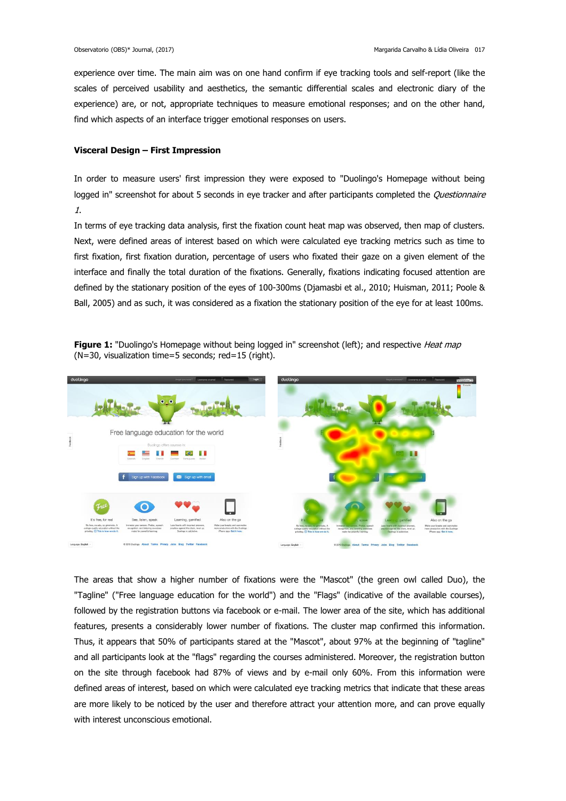experience over time. The main aim was on one hand confirm if eye tracking tools and self-report (like the scales of perceived usability and aesthetics, the semantic differential scales and electronic diary of the experience) are, or not, appropriate techniques to measure emotional responses; and on the other hand, find which aspects of an interface trigger emotional responses on users.

## **Visceral Design – First Impression**

In order to measure users' first impression they were exposed to "Duolingo's Homepage without being logged in" screenshot for about 5 seconds in eye tracker and after participants completed the Questionnaire 1.

In terms of eye tracking data analysis, first the fixation count heat map was observed, then map of clusters. Next, were defined areas of interest based on which were calculated eye tracking metrics such as time to first fixation, first fixation duration, percentage of users who fixated their gaze on a given element of the interface and finally the total duration of the fixations. Generally, fixations indicating focused attention are defined by the stationary position of the eyes of 100-300ms (Djamasbi et al., 2010; Huisman, 2011; Poole & Ball, 2005) and as such, it was considered as a fixation the stationary position of the eye for at least 100ms.





The areas that show a higher number of fixations were the "Mascot" (the green owl called Duo), the "Tagline" ("Free language education for the world") and the "Flags" (indicative of the available courses), followed by the registration buttons via facebook or e-mail. The lower area of the site, which has additional features, presents a considerably lower number of fixations. The cluster map confirmed this information. Thus, it appears that 50% of participants stared at the "Mascot", about 97% at the beginning of "tagline" and all participants look at the "flags" regarding the courses administered. Moreover, the registration button on the site through facebook had 87% of views and by e-mail only 60%. From this information were defined areas of interest, based on which were calculated eye tracking metrics that indicate that these areas are more likely to be noticed by the user and therefore attract your attention more, and can prove equally with interest unconscious emotional.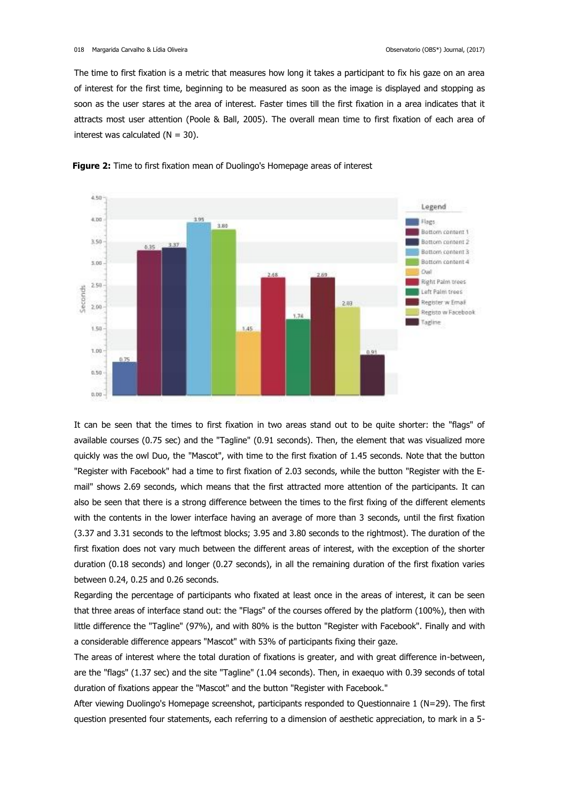The time to first fixation is a metric that measures how long it takes a participant to fix his gaze on an area of interest for the first time, beginning to be measured as soon as the image is displayed and stopping as soon as the user stares at the area of interest. Faster times till the first fixation in a area indicates that it attracts most user attention (Poole & Ball, 2005). The overall mean time to first fixation of each area of interest was calculated  $(N = 30)$ .





It can be seen that the times to first fixation in two areas stand out to be quite shorter: the "flags" of available courses (0.75 sec) and the "Tagline" (0.91 seconds). Then, the element that was visualized more quickly was the owl Duo, the "Mascot", with time to the first fixation of 1.45 seconds. Note that the button "Register with Facebook" had a time to first fixation of 2.03 seconds, while the button "Register with the Email" shows 2.69 seconds, which means that the first attracted more attention of the participants. It can also be seen that there is a strong difference between the times to the first fixing of the different elements with the contents in the lower interface having an average of more than 3 seconds, until the first fixation (3.37 and 3.31 seconds to the leftmost blocks; 3.95 and 3.80 seconds to the rightmost). The duration of the first fixation does not vary much between the different areas of interest, with the exception of the shorter duration (0.18 seconds) and longer (0.27 seconds), in all the remaining duration of the first fixation varies between 0.24, 0.25 and 0.26 seconds.

Regarding the percentage of participants who fixated at least once in the areas of interest, it can be seen that three areas of interface stand out: the "Flags" of the courses offered by the platform (100%), then with little difference the "Tagline" (97%), and with 80% is the button "Register with Facebook". Finally and with a considerable difference appears "Mascot" with 53% of participants fixing their gaze.

The areas of interest where the total duration of fixations is greater, and with great difference in-between, are the "flags" (1.37 sec) and the site "Tagline" (1.04 seconds). Then, in exaequo with 0.39 seconds of total duration of fixations appear the "Mascot" and the button "Register with Facebook."

After viewing Duolingo's Homepage screenshot, participants responded to Questionnaire 1 (N=29). The first question presented four statements, each referring to a dimension of aesthetic appreciation, to mark in a 5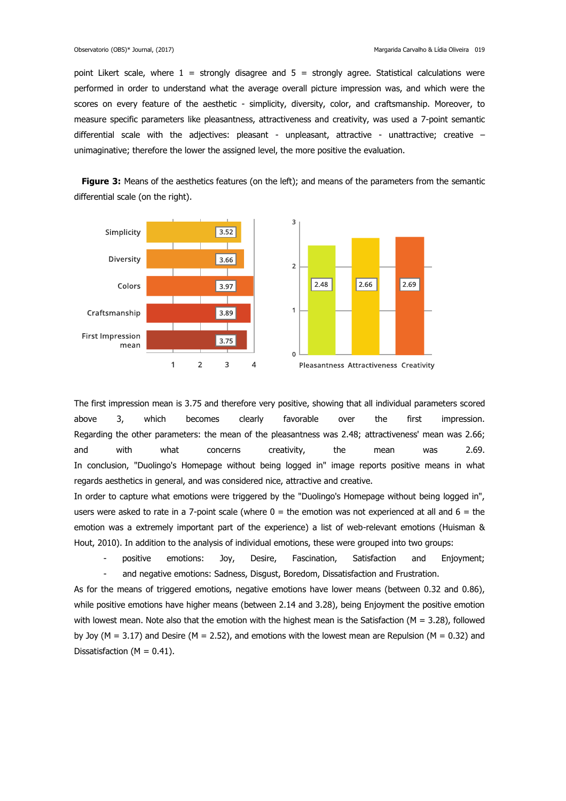point Likert scale, where  $1$  = strongly disagree and  $5$  = strongly agree. Statistical calculations were performed in order to understand what the average overall picture impression was, and which were the scores on every feature of the aesthetic - simplicity, diversity, color, and craftsmanship. Moreover, to measure specific parameters like pleasantness, attractiveness and creativity, was used a 7-point semantic differential scale with the adjectives: pleasant - unpleasant, attractive - unattractive; creative unimaginative; therefore the lower the assigned level, the more positive the evaluation.

**Figure 3:** Means of the aesthetics features (on the left); and means of the parameters from the semantic differential scale (on the right).



The first impression mean is 3.75 and therefore very positive, showing that all individual parameters scored above 3, which becomes clearly favorable over the first impression. Regarding the other parameters: the mean of the pleasantness was 2.48; attractiveness' mean was 2.66; and with what concerns creativity, the mean was 2.69. In conclusion, "Duolingo's Homepage without being logged in" image reports positive means in what regards aesthetics in general, and was considered nice, attractive and creative.

In order to capture what emotions were triggered by the "Duolingo's Homepage without being logged in", users were asked to rate in a 7-point scale (where  $0 =$  the emotion was not experienced at all and  $6 =$  the emotion was a extremely important part of the experience) a list of web-relevant emotions (Huisman & Hout, 2010). In addition to the analysis of individual emotions, these were grouped into two groups:

 - positive emotions: Joy, Desire, Fascination, Satisfaction and Enjoyment; and negative emotions: Sadness, Disgust, Boredom, Dissatisfaction and Frustration.

As for the means of triggered emotions, negative emotions have lower means (between 0.32 and 0.86), while positive emotions have higher means (between 2.14 and 3.28), being Enjoyment the positive emotion with lowest mean. Note also that the emotion with the highest mean is the Satisfaction ( $M = 3.28$ ), followed by Joy ( $M = 3.17$ ) and Desire ( $M = 2.52$ ), and emotions with the lowest mean are Repulsion ( $M = 0.32$ ) and Dissatisfaction ( $M = 0.41$ ).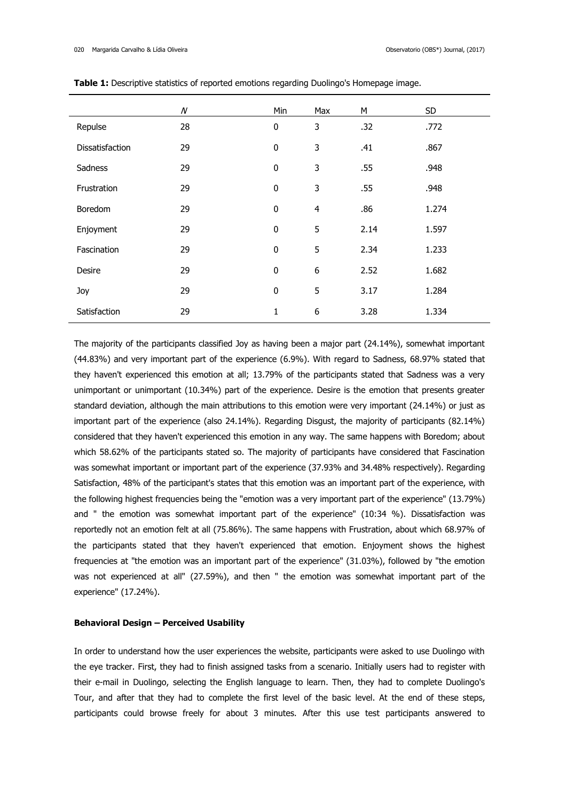|                 | $\cal N$ | Min       | Max            | M    | SD.   |
|-----------------|----------|-----------|----------------|------|-------|
| Repulse         | 28       | $\pmb{0}$ | 3              | .32  | .772  |
| Dissatisfaction | 29       | $\pmb{0}$ | 3              | .41  | .867  |
| Sadness         | 29       | $\pmb{0}$ | 3              | .55  | .948  |
| Frustration     | 29       | $\pmb{0}$ | 3              | .55  | .948  |
| Boredom         | 29       | $\pmb{0}$ | $\overline{4}$ | .86  | 1.274 |
| Enjoyment       | 29       | $\pmb{0}$ | 5              | 2.14 | 1.597 |
| Fascination     | 29       | $\pmb{0}$ | 5              | 2.34 | 1.233 |
| Desire          | 29       | $\pmb{0}$ | 6              | 2.52 | 1.682 |
| Joy             | 29       | $\pmb{0}$ | 5              | 3.17 | 1.284 |
| Satisfaction    | 29       | 1         | 6              | 3.28 | 1.334 |

**Table 1:** Descriptive statistics of reported emotions regarding Duolingo's Homepage image.

The majority of the participants classified Joy as having been a major part (24.14%), somewhat important (44.83%) and very important part of the experience (6.9%). With regard to Sadness, 68.97% stated that they haven't experienced this emotion at all; 13.79% of the participants stated that Sadness was a very unimportant or unimportant (10.34%) part of the experience. Desire is the emotion that presents greater standard deviation, although the main attributions to this emotion were very important (24.14%) or just as important part of the experience (also 24.14%). Regarding Disgust, the majority of participants (82.14%) considered that they haven't experienced this emotion in any way. The same happens with Boredom; about which 58.62% of the participants stated so. The majority of participants have considered that Fascination was somewhat important or important part of the experience (37.93% and 34.48% respectively). Regarding Satisfaction, 48% of the participant's states that this emotion was an important part of the experience, with the following highest frequencies being the "emotion was a very important part of the experience" (13.79%) and " the emotion was somewhat important part of the experience" (10:34 %). Dissatisfaction was reportedly not an emotion felt at all (75.86%). The same happens with Frustration, about which 68.97% of the participants stated that they haven't experienced that emotion. Enjoyment shows the highest frequencies at "the emotion was an important part of the experience" (31.03%), followed by "the emotion was not experienced at all" (27.59%), and then " the emotion was somewhat important part of the experience" (17.24%).

#### **Behavioral Design – Perceived Usability**

In order to understand how the user experiences the website, participants were asked to use Duolingo with the eye tracker. First, they had to finish assigned tasks from a scenario. Initially users had to register with their e-mail in Duolingo, selecting the English language to learn. Then, they had to complete Duolingo's Tour, and after that they had to complete the first level of the basic level. At the end of these steps, participants could browse freely for about 3 minutes. After this use test participants answered to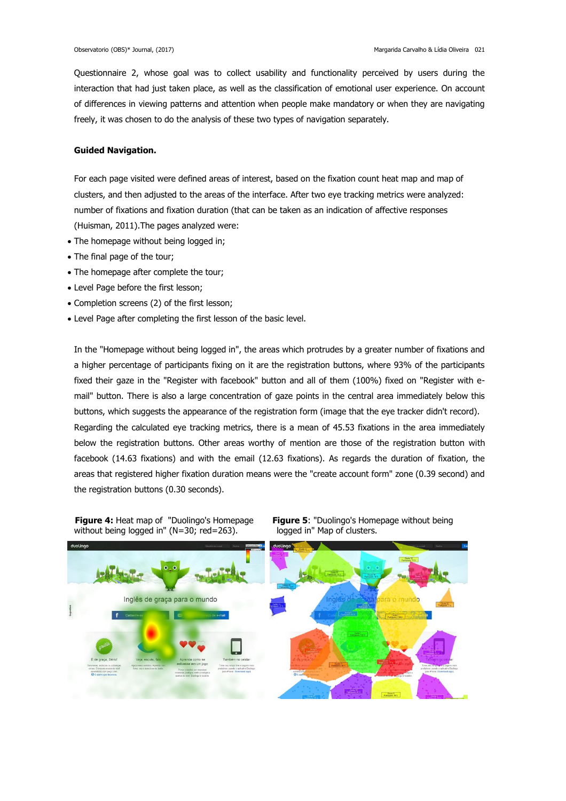Questionnaire 2, whose goal was to collect usability and functionality perceived by users during the interaction that had just taken place, as well as the classification of emotional user experience. On account of differences in viewing patterns and attention when people make mandatory or when they are navigating freely, it was chosen to do the analysis of these two types of navigation separately.

## **Guided Navigation.**

For each page visited were defined areas of interest, based on the fixation count heat map and map of clusters, and then adjusted to the areas of the interface. After two eye tracking metrics were analyzed: number of fixations and fixation duration (that can be taken as an indication of affective responses (Huisman, 2011).The pages analyzed were:

- The homepage without being logged in;
- The final page of the tour;
- The homepage after complete the tour;
- Level Page before the first lesson;
- Completion screens (2) of the first lesson;
- Level Page after completing the first lesson of the basic level.

In the "Homepage without being logged in", the areas which protrudes by a greater number of fixations and a higher percentage of participants fixing on it are the registration buttons, where 93% of the participants fixed their gaze in the "Register with facebook" button and all of them (100%) fixed on "Register with email" button. There is also a large concentration of gaze points in the central area immediately below this buttons, which suggests the appearance of the registration form (image that the eye tracker didn't record). Regarding the calculated eye tracking metrics, there is a mean of 45.53 fixations in the area immediately below the registration buttons. Other areas worthy of mention are those of the registration button with facebook (14.63 fixations) and with the email (12.63 fixations). As regards the duration of fixation, the areas that registered higher fixation duration means were the "create account form" zone (0.39 second) and the registration buttons (0.30 seconds).





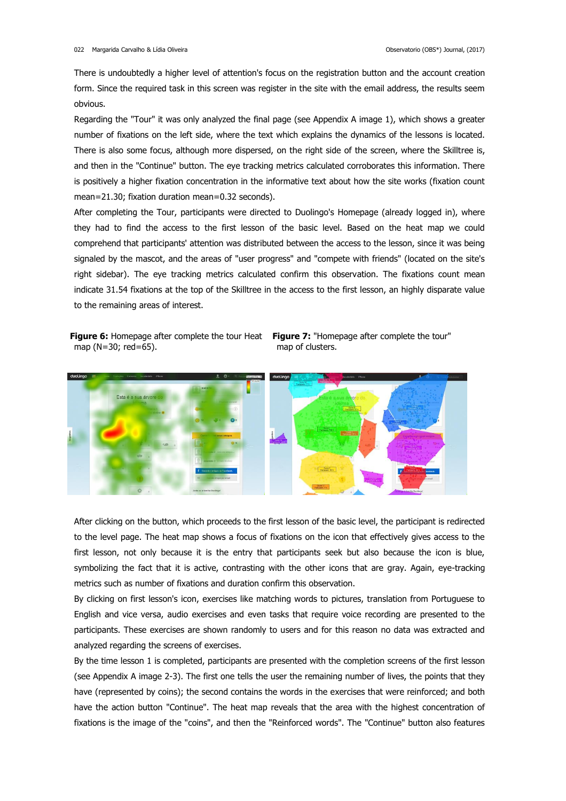There is undoubtedly a higher level of attention's focus on the registration button and the account creation form. Since the required task in this screen was register in the site with the email address, the results seem obvious.

Regarding the "Tour" it was only analyzed the final page (see Appendix A image 1), which shows a greater number of fixations on the left side, where the text which explains the dynamics of the lessons is located. There is also some focus, although more dispersed, on the right side of the screen, where the Skilltree is, and then in the "Continue" button. The eye tracking metrics calculated corroborates this information. There is positively a higher fixation concentration in the informative text about how the site works (fixation count mean=21.30; fixation duration mean=0.32 seconds).

After completing the Tour, participants were directed to Duolingo's Homepage (already logged in), where they had to find the access to the first lesson of the basic level. Based on the heat map we could comprehend that participants' attention was distributed between the access to the lesson, since it was being signaled by the mascot, and the areas of "user progress" and "compete with friends" (located on the site's right sidebar). The eye tracking metrics calculated confirm this observation. The fixations count mean indicate 31.54 fixations at the top of the Skilltree in the access to the first lesson, an highly disparate value to the remaining areas of interest.

**Figure 6:** Homepage after complete the tour Heat **Figure 7:** "Homepage after complete the tour" map (N=30; red=65).

map of clusters.



After clicking on the button, which proceeds to the first lesson of the basic level, the participant is redirected to the level page. The heat map shows a focus of fixations on the icon that effectively gives access to the first lesson, not only because it is the entry that participants seek but also because the icon is blue, symbolizing the fact that it is active, contrasting with the other icons that are gray. Again, eye-tracking metrics such as number of fixations and duration confirm this observation.

By clicking on first lesson's icon, exercises like matching words to pictures, translation from Portuguese to English and vice versa, audio exercises and even tasks that require voice recording are presented to the participants. These exercises are shown randomly to users and for this reason no data was extracted and analyzed regarding the screens of exercises.

By the time lesson 1 is completed, participants are presented with the completion screens of the first lesson (see Appendix A image 2-3). The first one tells the user the remaining number of lives, the points that they have (represented by coins); the second contains the words in the exercises that were reinforced; and both have the action button "Continue". The heat map reveals that the area with the highest concentration of fixations is the image of the "coins", and then the "Reinforced words". The "Continue" button also features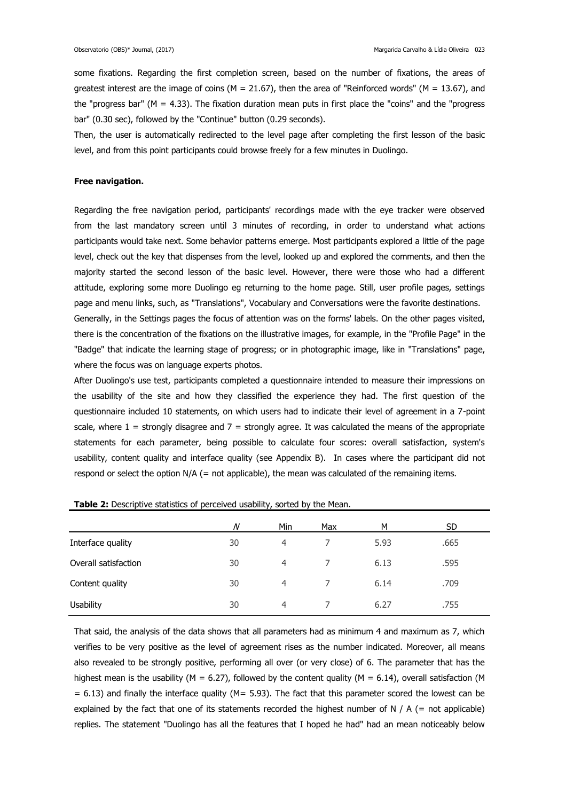some fixations. Regarding the first completion screen, based on the number of fixations, the areas of greatest interest are the image of coins ( $M = 21.67$ ), then the area of "Reinforced words" ( $M = 13.67$ ), and the "progress bar" ( $M = 4.33$ ). The fixation duration mean puts in first place the "coins" and the "progress" bar" (0.30 sec), followed by the "Continue" button (0.29 seconds).

Then, the user is automatically redirected to the level page after completing the first lesson of the basic level, and from this point participants could browse freely for a few minutes in Duolingo.

### **Free navigation.**

Regarding the free navigation period, participants' recordings made with the eye tracker were observed from the last mandatory screen until 3 minutes of recording, in order to understand what actions participants would take next. Some behavior patterns emerge. Most participants explored a little of the page level, check out the key that dispenses from the level, looked up and explored the comments, and then the majority started the second lesson of the basic level. However, there were those who had a different attitude, exploring some more Duolingo eg returning to the home page. Still, user profile pages, settings page and menu links, such, as "Translations", Vocabulary and Conversations were the favorite destinations. Generally, in the Settings pages the focus of attention was on the forms' labels. On the other pages visited,

there is the concentration of the fixations on the illustrative images, for example, in the "Profile Page" in the "Badge" that indicate the learning stage of progress; or in photographic image, like in "Translations" page, where the focus was on language experts photos.

After Duolingo's use test, participants completed a questionnaire intended to measure their impressions on the usability of the site and how they classified the experience they had. The first question of the questionnaire included 10 statements, on which users had to indicate their level of agreement in a 7-point scale, where  $1 =$  strongly disagree and  $7 =$  strongly agree. It was calculated the means of the appropriate statements for each parameter, being possible to calculate four scores: overall satisfaction, system's usability, content quality and interface quality (see Appendix B). In cases where the participant did not respond or select the option N/A (= not applicable), the mean was calculated of the remaining items.

|                      | $\overline{N}$ | Min            | Max | М    | SD.  |  |
|----------------------|----------------|----------------|-----|------|------|--|
| Interface quality    | 30             | $\overline{4}$ |     | 5.93 | .665 |  |
| Overall satisfaction | 30             | $\overline{4}$ |     | 6.13 | .595 |  |
| Content quality      | 30             | 4              |     | 6.14 | .709 |  |
| <b>Usability</b>     | 30             | 4              |     | 6.27 | .755 |  |

Table 2: Descriptive statistics of perceived usability, sorted by the Mean.

That said, the analysis of the data shows that all parameters had as minimum 4 and maximum as 7, which verifies to be very positive as the level of agreement rises as the number indicated. Moreover, all means also revealed to be strongly positive, performing all over (or very close) of 6. The parameter that has the highest mean is the usability (M = 6.27), followed by the content quality (M = 6.14), overall satisfaction (M  $= 6.13$ ) and finally the interface quality (M= 5.93). The fact that this parameter scored the lowest can be explained by the fact that one of its statements recorded the highest number of  $N / A$  (= not applicable) replies. The statement "Duolingo has all the features that I hoped he had" had an mean noticeably below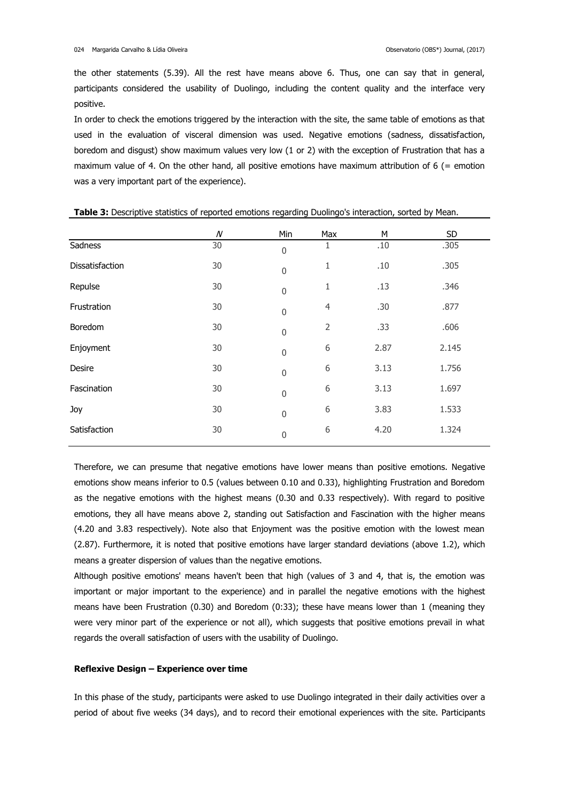the other statements (5.39). All the rest have means above 6. Thus, one can say that in general, participants considered the usability of Duolingo, including the content quality and the interface very positive.

In order to check the emotions triggered by the interaction with the site, the same table of emotions as that used in the evaluation of visceral dimension was used. Negative emotions (sadness, dissatisfaction, boredom and disgust) show maximum values very low (1 or 2) with the exception of Frustration that has a maximum value of 4. On the other hand, all positive emotions have maximum attribution of 6 (= emotion was a very important part of the experience).

|                 | $\boldsymbol{N}$ | Min              | Max            | M    | SD    |
|-----------------|------------------|------------------|----------------|------|-------|
| Sadness         | 30               | $\boldsymbol{0}$ | 1              | .10  | .305  |
| Dissatisfaction | 30               | $\boldsymbol{0}$ | 1              | .10  | .305  |
| Repulse         | 30               | $\boldsymbol{0}$ | 1              | .13  | .346  |
| Frustration     | 30               | $\boldsymbol{0}$ | $\overline{4}$ | .30  | .877  |
| Boredom         | 30               | $\boldsymbol{0}$ | $\overline{2}$ | .33  | .606  |
| Enjoyment       | 30               | $\boldsymbol{0}$ | 6              | 2.87 | 2.145 |
| Desire          | 30               | $\boldsymbol{0}$ | 6              | 3.13 | 1.756 |
| Fascination     | 30               | $\boldsymbol{0}$ | 6              | 3.13 | 1.697 |
| Joy             | 30               | $\boldsymbol{0}$ | 6              | 3.83 | 1.533 |
| Satisfaction    | 30               | $\boldsymbol{0}$ | 6              | 4.20 | 1.324 |

**Table 3:** Descriptive statistics of reported emotions regarding Duolingo's interaction, sorted by Mean.

Therefore, we can presume that negative emotions have lower means than positive emotions. Negative emotions show means inferior to 0.5 (values between 0.10 and 0.33), highlighting Frustration and Boredom as the negative emotions with the highest means (0.30 and 0.33 respectively). With regard to positive emotions, they all have means above 2, standing out Satisfaction and Fascination with the higher means (4.20 and 3.83 respectively). Note also that Enjoyment was the positive emotion with the lowest mean (2.87). Furthermore, it is noted that positive emotions have larger standard deviations (above 1.2), which means a greater dispersion of values than the negative emotions.

Although positive emotions' means haven't been that high (values of 3 and 4, that is, the emotion was important or major important to the experience) and in parallel the negative emotions with the highest means have been Frustration (0.30) and Boredom (0:33); these have means lower than 1 (meaning they were very minor part of the experience or not all), which suggests that positive emotions prevail in what regards the overall satisfaction of users with the usability of Duolingo.

#### **Reflexive Design – Experience over time**

In this phase of the study, participants were asked to use Duolingo integrated in their daily activities over a period of about five weeks (34 days), and to record their emotional experiences with the site. Participants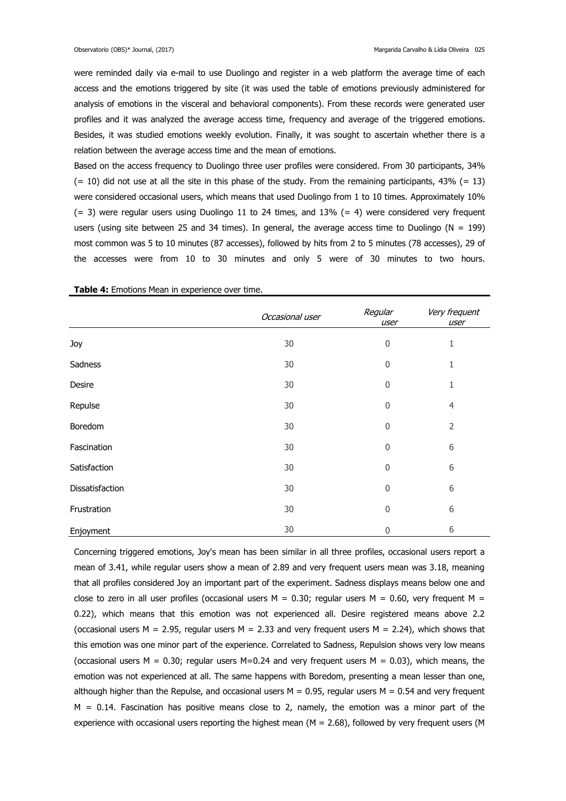were reminded daily via e-mail to use Duolingo and register in a web platform the average time of each access and the emotions triggered by site (it was used the table of emotions previously administered for analysis of emotions in the visceral and behavioral components). From these records were generated user profiles and it was analyzed the average access time, frequency and average of the triggered emotions. Besides, it was studied emotions weekly evolution. Finally, it was sought to ascertain whether there is a relation between the average access time and the mean of emotions.

Based on the access frequency to Duolingo three user profiles were considered. From 30 participants, 34%  $(= 10)$  did not use at all the site in this phase of the study. From the remaining participants, 43%  $(= 13)$ were considered occasional users, which means that used Duolingo from 1 to 10 times. Approximately 10%  $(= 3)$  were regular users using Duolingo 11 to 24 times, and 13%  $(= 4)$  were considered very frequent users (using site between 25 and 34 times). In general, the average access time to Duolingo (N = 199) most common was 5 to 10 minutes (87 accesses), followed by hits from 2 to 5 minutes (78 accesses), 29 of the accesses were from 10 to 30 minutes and only 5 were of 30 minutes to two hours.

|                 | Occasional user | Regular<br>user  | Very frequent<br>user |
|-----------------|-----------------|------------------|-----------------------|
| Joy             | 30              | $\mathbf 0$      | 1                     |
| Sadness         | 30              | $\boldsymbol{0}$ | 1                     |
| Desire          | 30              | $\mathbf 0$      | 1                     |
| Repulse         | 30              | $\mathbf 0$      | 4                     |
| Boredom         | 30              | $\mathbf 0$      | $\overline{2}$        |
| Fascination     | 30              | $\boldsymbol{0}$ | 6                     |
| Satisfaction    | 30              | $\mathbf 0$      | 6                     |
| Dissatisfaction | 30              | $\mathbf 0$      | 6                     |
| Frustration     | 30              | $\mathbf 0$      | 6                     |
| Enjoyment       | 30              | $\mathbf{0}$     | 6                     |

**Table 4:** Emotions Mean in experience over time.

Concerning triggered emotions, Joy's mean has been similar in all three profiles, occasional users report a mean of 3.41, while regular users show a mean of 2.89 and very frequent users mean was 3.18, meaning that all profiles considered Joy an important part of the experiment. Sadness displays means below one and close to zero in all user profiles (occasional users  $M = 0.30$ ; regular users  $M = 0.60$ , very frequent  $M =$ 0.22), which means that this emotion was not experienced all. Desire registered means above 2.2 (occasional users M = 2.95, regular users M = 2.33 and very frequent users M = 2.24), which shows that this emotion was one minor part of the experience. Correlated to Sadness, Repulsion shows very low means (occasional users M = 0.30; regular users  $M=0.24$  and very frequent users M = 0.03), which means, the emotion was not experienced at all. The same happens with Boredom, presenting a mean lesser than one, although higher than the Repulse, and occasional users  $M = 0.95$ , regular users  $M = 0.54$  and very frequent  $M = 0.14$ . Fascination has positive means close to 2, namely, the emotion was a minor part of the experience with occasional users reporting the highest mean ( $M = 2.68$ ), followed by very frequent users (M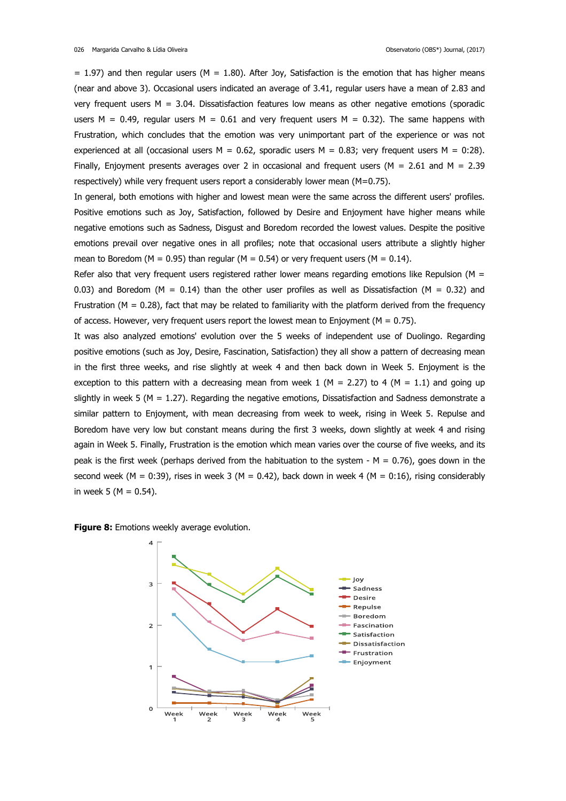$= 1.97$ ) and then regular users (M = 1.80). After Joy, Satisfaction is the emotion that has higher means (near and above 3). Occasional users indicated an average of 3.41, regular users have a mean of 2.83 and very frequent users  $M = 3.04$ . Dissatisfaction features low means as other negative emotions (sporadic users M = 0.49, regular users M = 0.61 and very frequent users M = 0.32). The same happens with Frustration, which concludes that the emotion was very unimportant part of the experience or was not experienced at all (occasional users  $M = 0.62$ , sporadic users  $M = 0.83$ ; very frequent users  $M = 0.28$ ). Finally, Enjoyment presents averages over 2 in occasional and frequent users ( $M = 2.61$  and  $M = 2.39$ respectively) while very frequent users report a considerably lower mean (M=0.75).

In general, both emotions with higher and lowest mean were the same across the different users' profiles. Positive emotions such as Joy, Satisfaction, followed by Desire and Enjoyment have higher means while negative emotions such as Sadness, Disgust and Boredom recorded the lowest values. Despite the positive emotions prevail over negative ones in all profiles; note that occasional users attribute a slightly higher mean to Boredom ( $M = 0.95$ ) than regular ( $M = 0.54$ ) or very frequent users ( $M = 0.14$ ).

Refer also that very frequent users registered rather lower means regarding emotions like Repulsion ( $M =$ 0.03) and Boredom ( $M = 0.14$ ) than the other user profiles as well as Dissatisfaction ( $M = 0.32$ ) and Frustration ( $M = 0.28$ ), fact that may be related to familiarity with the platform derived from the frequency of access. However, very frequent users report the lowest mean to Enjoyment ( $M = 0.75$ ).

It was also analyzed emotions' evolution over the 5 weeks of independent use of Duolingo. Regarding positive emotions (such as Joy, Desire, Fascination, Satisfaction) they all show a pattern of decreasing mean in the first three weeks, and rise slightly at week 4 and then back down in Week 5. Enjoyment is the exception to this pattern with a decreasing mean from week 1 ( $M = 2.27$ ) to 4 ( $M = 1.1$ ) and going up slightly in week 5 ( $M = 1.27$ ). Regarding the negative emotions, Dissatisfaction and Sadness demonstrate a similar pattern to Enjoyment, with mean decreasing from week to week, rising in Week 5. Repulse and Boredom have very low but constant means during the first 3 weeks, down slightly at week 4 and rising again in Week 5. Finally, Frustration is the emotion which mean varies over the course of five weeks, and its peak is the first week (perhaps derived from the habituation to the system -  $M = 0.76$ ), goes down in the second week (M = 0:39), rises in week 3 (M = 0.42), back down in week 4 (M = 0:16), rising considerably in week 5 ( $M = 0.54$ ).

**Figure 8:** Emotions weekly average evolution.

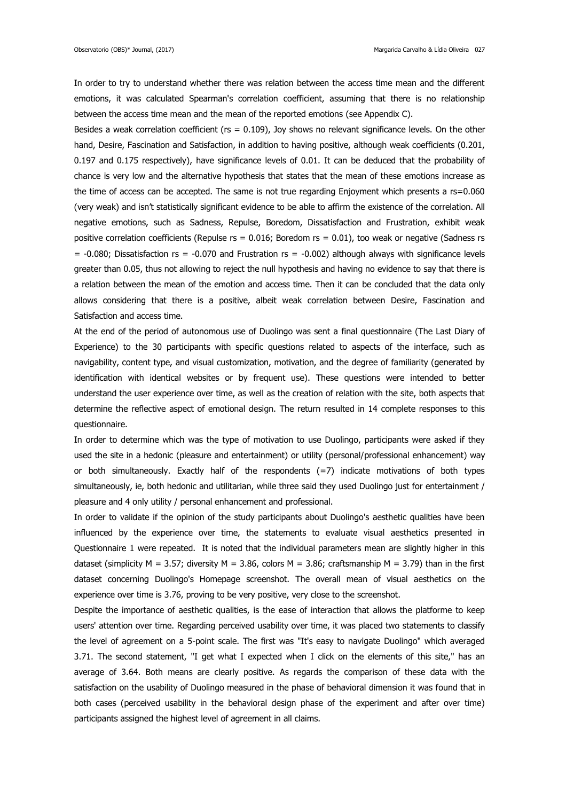In order to try to understand whether there was relation between the access time mean and the different emotions, it was calculated Spearman's correlation coefficient, assuming that there is no relationship between the access time mean and the mean of the reported emotions (see Appendix C).

Besides a weak correlation coefficient ( $rs = 0.109$ ), Joy shows no relevant significance levels. On the other hand, Desire, Fascination and Satisfaction, in addition to having positive, although weak coefficients (0.201, 0.197 and 0.175 respectively), have significance levels of 0.01. It can be deduced that the probability of chance is very low and the alternative hypothesis that states that the mean of these emotions increase as the time of access can be accepted. The same is not true regarding Enjoyment which presents a rs=0.060 (very weak) and isn't statistically significant evidence to be able to affirm the existence of the correlation. All negative emotions, such as Sadness, Repulse, Boredom, Dissatisfaction and Frustration, exhibit weak positive correlation coefficients (Repulse  $rs = 0.016$ ; Boredom  $rs = 0.01$ ), too weak or negative (Sadness rs  $= -0.080$ ; Dissatisfaction rs =  $-0.070$  and Frustration rs =  $-0.002$ ) although always with significance levels greater than 0.05, thus not allowing to reject the null hypothesis and having no evidence to say that there is a relation between the mean of the emotion and access time. Then it can be concluded that the data only allows considering that there is a positive, albeit weak correlation between Desire, Fascination and Satisfaction and access time.

At the end of the period of autonomous use of Duolingo was sent a final questionnaire (The Last Diary of Experience) to the 30 participants with specific questions related to aspects of the interface, such as navigability, content type, and visual customization, motivation, and the degree of familiarity (generated by identification with identical websites or by frequent use). These questions were intended to better understand the user experience over time, as well as the creation of relation with the site, both aspects that determine the reflective aspect of emotional design. The return resulted in 14 complete responses to this questionnaire.

In order to determine which was the type of motivation to use Duolingo, participants were asked if they used the site in a hedonic (pleasure and entertainment) or utility (personal/professional enhancement) way or both simultaneously. Exactly half of the respondents (=7) indicate motivations of both types simultaneously, ie, both hedonic and utilitarian, while three said they used Duolingo just for entertainment / pleasure and 4 only utility / personal enhancement and professional.

In order to validate if the opinion of the study participants about Duolingo's aesthetic qualities have been influenced by the experience over time, the statements to evaluate visual aesthetics presented in Questionnaire 1 were repeated. It is noted that the individual parameters mean are slightly higher in this dataset (simplicity M = 3.57; diversity M = 3.86, colors M = 3.86; craftsmanship M = 3.79) than in the first dataset concerning Duolingo's Homepage screenshot. The overall mean of visual aesthetics on the experience over time is 3.76, proving to be very positive, very close to the screenshot.

Despite the importance of aesthetic qualities, is the ease of interaction that allows the platforme to keep users' attention over time. Regarding perceived usability over time, it was placed two statements to classify the level of agreement on a 5-point scale. The first was "It's easy to navigate Duolingo" which averaged 3.71. The second statement, "I get what I expected when I click on the elements of this site," has an average of 3.64. Both means are clearly positive. As regards the comparison of these data with the satisfaction on the usability of Duolingo measured in the phase of behavioral dimension it was found that in both cases (perceived usability in the behavioral design phase of the experiment and after over time) participants assigned the highest level of agreement in all claims.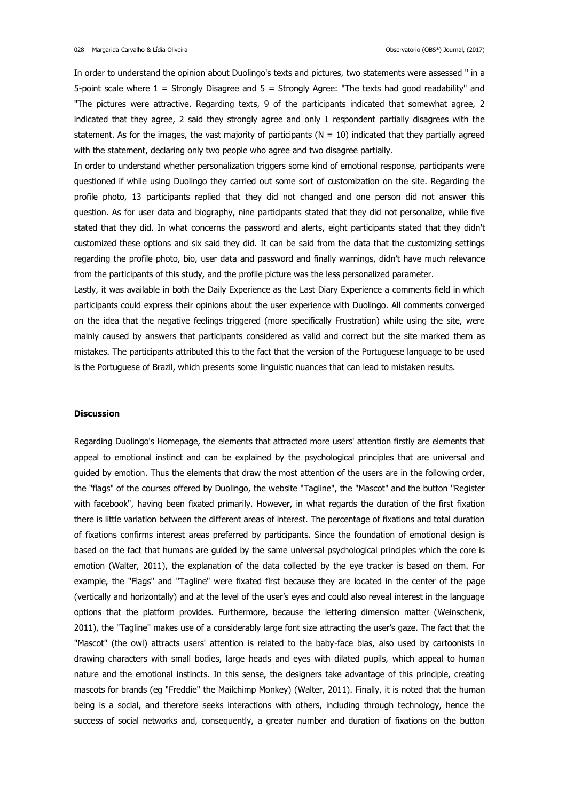In order to understand the opinion about Duolingo's texts and pictures, two statements were assessed " in a 5-point scale where 1 = Strongly Disagree and 5 = Strongly Agree: "The texts had good readability" and "The pictures were attractive. Regarding texts, 9 of the participants indicated that somewhat agree, 2 indicated that they agree, 2 said they strongly agree and only 1 respondent partially disagrees with the statement. As for the images, the vast majority of participants ( $N = 10$ ) indicated that they partially agreed with the statement, declaring only two people who agree and two disagree partially.

In order to understand whether personalization triggers some kind of emotional response, participants were questioned if while using Duolingo they carried out some sort of customization on the site. Regarding the profile photo, 13 participants replied that they did not changed and one person did not answer this question. As for user data and biography, nine participants stated that they did not personalize, while five stated that they did. In what concerns the password and alerts, eight participants stated that they didn't customized these options and six said they did. It can be said from the data that the customizing settings regarding the profile photo, bio, user data and password and finally warnings, didn't have much relevance from the participants of this study, and the profile picture was the less personalized parameter.

Lastly, it was available in both the Daily Experience as the Last Diary Experience a comments field in which participants could express their opinions about the user experience with Duolingo. All comments converged on the idea that the negative feelings triggered (more specifically Frustration) while using the site, were mainly caused by answers that participants considered as valid and correct but the site marked them as mistakes. The participants attributed this to the fact that the version of the Portuguese language to be used is the Portuguese of Brazil, which presents some linguistic nuances that can lead to mistaken results.

#### **Discussion**

Regarding Duolingo's Homepage, the elements that attracted more users' attention firstly are elements that appeal to emotional instinct and can be explained by the psychological principles that are universal and guided by emotion. Thus the elements that draw the most attention of the users are in the following order, the "flags" of the courses offered by Duolingo, the website "Tagline", the "Mascot" and the button "Register with facebook", having been fixated primarily. However, in what regards the duration of the first fixation there is little variation between the different areas of interest. The percentage of fixations and total duration of fixations confirms interest areas preferred by participants. Since the foundation of emotional design is based on the fact that humans are guided by the same universal psychological principles which the core is emotion (Walter, 2011), the explanation of the data collected by the eye tracker is based on them. For example, the "Flags" and "Tagline" were fixated first because they are located in the center of the page (vertically and horizontally) and at the level of the user's eyes and could also reveal interest in the language options that the platform provides. Furthermore, because the lettering dimension matter (Weinschenk, 2011), the "Tagline" makes use of a considerably large font size attracting the user's gaze. The fact that the "Mascot" (the owl) attracts users' attention is related to the baby-face bias, also used by cartoonists in drawing characters with small bodies, large heads and eyes with dilated pupils, which appeal to human nature and the emotional instincts. In this sense, the designers take advantage of this principle, creating mascots for brands (eg "Freddie" the Mailchimp Monkey) (Walter, 2011). Finally, it is noted that the human being is a social, and therefore seeks interactions with others, including through technology, hence the success of social networks and, consequently, a greater number and duration of fixations on the button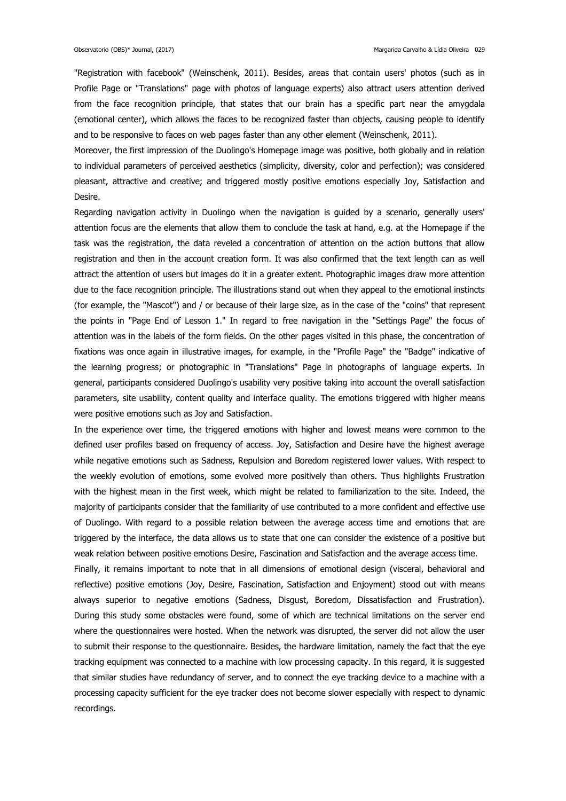"Registration with facebook" (Weinschenk, 2011). Besides, areas that contain users' photos (such as in Profile Page or "Translations" page with photos of language experts) also attract users attention derived from the face recognition principle, that states that our brain has a specific part near the amygdala (emotional center), which allows the faces to be recognized faster than objects, causing people to identify and to be responsive to faces on web pages faster than any other element (Weinschenk, 2011).

Moreover, the first impression of the Duolingo's Homepage image was positive, both globally and in relation to individual parameters of perceived aesthetics (simplicity, diversity, color and perfection); was considered pleasant, attractive and creative; and triggered mostly positive emotions especially Joy, Satisfaction and Desire.

Regarding navigation activity in Duolingo when the navigation is guided by a scenario, generally users' attention focus are the elements that allow them to conclude the task at hand, e.g. at the Homepage if the task was the registration, the data reveled a concentration of attention on the action buttons that allow registration and then in the account creation form. It was also confirmed that the text length can as well attract the attention of users but images do it in a greater extent. Photographic images draw more attention due to the face recognition principle. The illustrations stand out when they appeal to the emotional instincts (for example, the "Mascot") and / or because of their large size, as in the case of the "coins" that represent the points in "Page End of Lesson 1." In regard to free navigation in the "Settings Page" the focus of attention was in the labels of the form fields. On the other pages visited in this phase, the concentration of fixations was once again in illustrative images, for example, in the "Profile Page" the "Badge" indicative of the learning progress; or photographic in "Translations" Page in photographs of language experts. In general, participants considered Duolingo's usability very positive taking into account the overall satisfaction parameters, site usability, content quality and interface quality. The emotions triggered with higher means were positive emotions such as Joy and Satisfaction.

In the experience over time, the triggered emotions with higher and lowest means were common to the defined user profiles based on frequency of access. Joy, Satisfaction and Desire have the highest average while negative emotions such as Sadness, Repulsion and Boredom registered lower values. With respect to the weekly evolution of emotions, some evolved more positively than others. Thus highlights Frustration with the highest mean in the first week, which might be related to familiarization to the site. Indeed, the majority of participants consider that the familiarity of use contributed to a more confident and effective use of Duolingo. With regard to a possible relation between the average access time and emotions that are triggered by the interface, the data allows us to state that one can consider the existence of a positive but weak relation between positive emotions Desire, Fascination and Satisfaction and the average access time.

Finally, it remains important to note that in all dimensions of emotional design (visceral, behavioral and reflective) positive emotions (Joy, Desire, Fascination, Satisfaction and Enjoyment) stood out with means always superior to negative emotions (Sadness, Disgust, Boredom, Dissatisfaction and Frustration). During this study some obstacles were found, some of which are technical limitations on the server end where the questionnaires were hosted. When the network was disrupted, the server did not allow the user to submit their response to the questionnaire. Besides, the hardware limitation, namely the fact that the eye tracking equipment was connected to a machine with low processing capacity. In this regard, it is suggested that similar studies have redundancy of server, and to connect the eye tracking device to a machine with a processing capacity sufficient for the eye tracker does not become slower especially with respect to dynamic recordings.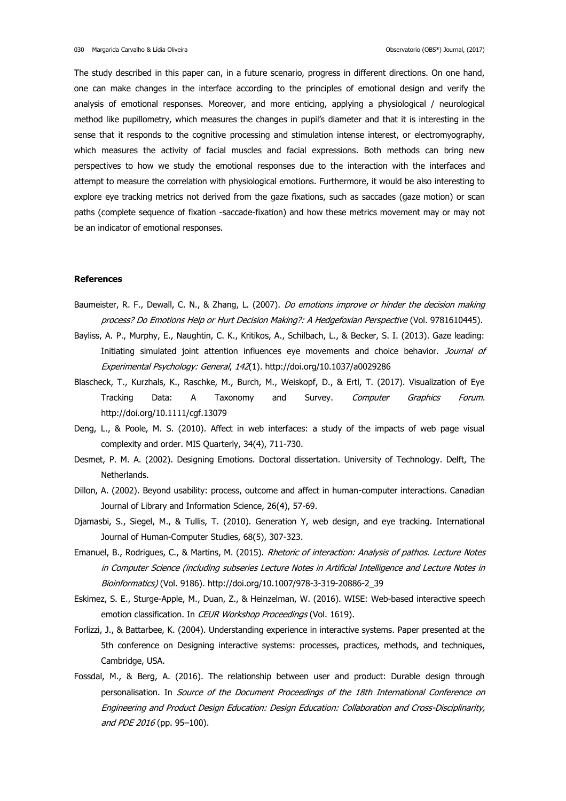The study described in this paper can, in a future scenario, progress in different directions. On one hand, one can make changes in the interface according to the principles of emotional design and verify the analysis of emotional responses. Moreover, and more enticing, applying a physiological / neurological method like pupillometry, which measures the changes in pupil's diameter and that it is interesting in the sense that it responds to the cognitive processing and stimulation intense interest, or electromyography, which measures the activity of facial muscles and facial expressions. Both methods can bring new perspectives to how we study the emotional responses due to the interaction with the interfaces and attempt to measure the correlation with physiological emotions. Furthermore, it would be also interesting to explore eye tracking metrics not derived from the gaze fixations, such as saccades (gaze motion) or scan paths (complete sequence of fixation -saccade-fixation) and how these metrics movement may or may not be an indicator of emotional responses.

#### **References**

- Baumeister, R. F., Dewall, C. N., & Zhang, L. (2007). Do emotions improve or hinder the decision making process? Do Emotions Help or Hurt Decision Making?: A Hedgefoxian Perspective (Vol. 9781610445).
- Bayliss, A. P., Murphy, E., Naughtin, C. K., Kritikos, A., Schilbach, L., & Becker, S. I. (2013). Gaze leading: Initiating simulated joint attention influences eye movements and choice behavior. Journal of Experimental Psychology: General, 142(1). http://doi.org/10.1037/a0029286
- Blascheck, T., Kurzhals, K., Raschke, M., Burch, M., Weiskopf, D., & Ertl, T. (2017). Visualization of Eye Tracking Data: A Taxonomy and Survey. *Computer Graphics Forum*. http://doi.org/10.1111/cgf.13079
- Deng, L., & Poole, M. S. (2010). Affect in web interfaces: a study of the impacts of web page visual complexity and order. MIS Quarterly, 34(4), 711-730.
- Desmet, P. M. A. (2002). Designing Emotions. Doctoral dissertation. University of Technology. Delft, The Netherlands.
- Dillon, A. (2002). Beyond usability: process, outcome and affect in human-computer interactions. Canadian Journal of Library and Information Science, 26(4), 57-69.
- Djamasbi, S., Siegel, M., & Tullis, T. (2010). Generation Y, web design, and eye tracking. International Journal of Human-Computer Studies, 68(5), 307-323.
- Emanuel, B., Rodrigues, C., & Martins, M. (2015). Rhetoric of interaction: Analysis of pathos. Lecture Notes in Computer Science (including subseries Lecture Notes in Artificial Intelligence and Lecture Notes in Bioinformatics) (Vol. 9186). http://doi.org/10.1007/978-3-319-20886-2\_39
- Eskimez, S. E., Sturge-Apple, M., Duan, Z., & Heinzelman, W. (2016). WISE: Web-based interactive speech emotion classification. In CEUR Workshop Proceedings (Vol. 1619).
- Forlizzi, J., & Battarbee, K. (2004). Understanding experience in interactive systems. Paper presented at the 5th conference on Designing interactive systems: processes, practices, methods, and techniques, Cambridge, USA.
- Fossdal, M., & Berg, A. (2016). The relationship between user and product: Durable design through personalisation. In Source of the Document Proceedings of the 18th International Conference on Engineering and Product Design Education: Design Education: Collaboration and Cross-Disciplinarity, and PDE 2016 (pp. 95–100).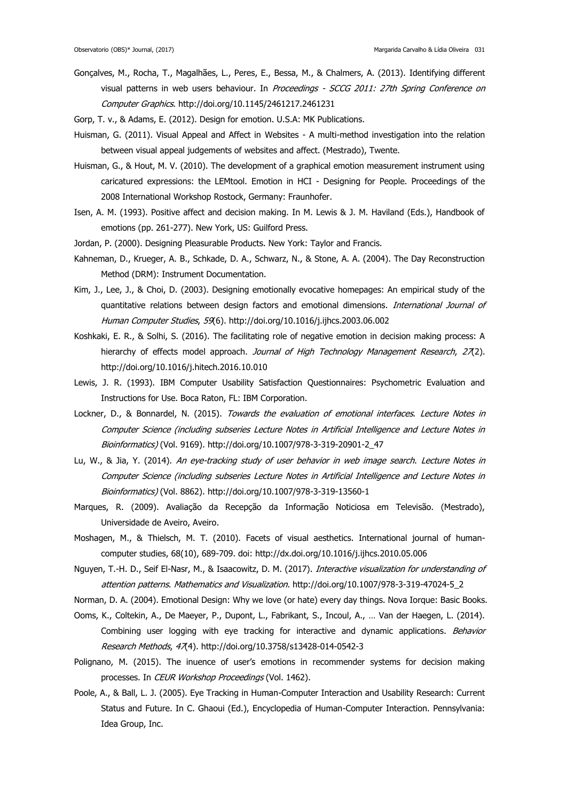- Gonçalves, M., Rocha, T., Magalhães, L., Peres, E., Bessa, M., & Chalmers, A. (2013). Identifying different visual patterns in web users behaviour. In Proceedings - SCCG 2011: 27th Spring Conference on Computer Graphics. http://doi.org/10.1145/2461217.2461231
- Gorp, T. v., & Adams, E. (2012). Design for emotion. U.S.A: MK Publications.
- Huisman, G. (2011). Visual Appeal and Affect in Websites A multi-method investigation into the relation between visual appeal judgements of websites and affect. (Mestrado), Twente.
- Huisman, G., & Hout, M. V. (2010). The development of a graphical emotion measurement instrument using caricatured expressions: the LEMtool. Emotion in HCI - Designing for People. Proceedings of the 2008 International Workshop Rostock, Germany: Fraunhofer.
- Isen, A. M. (1993). Positive affect and decision making. In M. Lewis & J. M. Haviland (Eds.), Handbook of emotions (pp. 261-277). New York, US: Guilford Press.
- Jordan, P. (2000). Designing Pleasurable Products. New York: Taylor and Francis.
- Kahneman, D., Krueger, A. B., Schkade, D. A., Schwarz, N., & Stone, A. A. (2004). The Day Reconstruction Method (DRM): Instrument Documentation.
- Kim, J., Lee, J., & Choi, D. (2003). Designing emotionally evocative homepages: An empirical study of the quantitative relations between design factors and emotional dimensions. International Journal of Human Computer Studies, 59(6). http://doi.org/10.1016/j.ijhcs.2003.06.002
- Koshkaki, E. R., & Solhi, S. (2016). The facilitating role of negative emotion in decision making process: A hierarchy of effects model approach. Journal of High Technology Management Research, 27(2). http://doi.org/10.1016/j.hitech.2016.10.010
- Lewis, J. R. (1993). IBM Computer Usability Satisfaction Questionnaires: Psychometric Evaluation and Instructions for Use. Boca Raton, FL: IBM Corporation.
- Lockner, D., & Bonnardel, N. (2015). Towards the evaluation of emotional interfaces. Lecture Notes in Computer Science (including subseries Lecture Notes in Artificial Intelligence and Lecture Notes in Bioinformatics) (Vol. 9169). http://doi.org/10.1007/978-3-319-20901-2\_47
- Lu, W., & Jia, Y. (2014). An eye-tracking study of user behavior in web image search. Lecture Notes in Computer Science (including subseries Lecture Notes in Artificial Intelligence and Lecture Notes in Bioinformatics) (Vol. 8862). http://doi.org/10.1007/978-3-319-13560-1
- Marques, R. (2009). Avaliação da Recepção da Informação Noticiosa em Televisão. (Mestrado), Universidade de Aveiro, Aveiro.
- Moshagen, M., & Thielsch, M. T. (2010). Facets of visual aesthetics. International journal of humancomputer studies, 68(10), 689-709. doi: http://dx.doi.org/10.1016/j.ijhcs.2010.05.006
- Nguyen, T.-H. D., Seif El-Nasr, M., & Isaacowitz, D. M. (2017). Interactive visualization for understanding of attention patterns. Mathematics and Visualization. http://doi.org/10.1007/978-3-319-47024-5\_2
- Norman, D. A. (2004). Emotional Design: Why we love (or hate) every day things. Nova Iorque: Basic Books.
- Ooms, K., Coltekin, A., De Maeyer, P., Dupont, L., Fabrikant, S., Incoul, A., … Van der Haegen, L. (2014). Combining user logging with eye tracking for interactive and dynamic applications. Behavior Research Methods, 47(4). http://doi.org/10.3758/s13428-014-0542-3
- Polignano, M. (2015). The inuence of user's emotions in recommender systems for decision making processes. In CEUR Workshop Proceedings (Vol. 1462).
- Poole, A., & Ball, L. J. (2005). Eye Tracking in Human-Computer Interaction and Usability Research: Current Status and Future. In C. Ghaoui (Ed.), Encyclopedia of Human-Computer Interaction. Pennsylvania: Idea Group, Inc.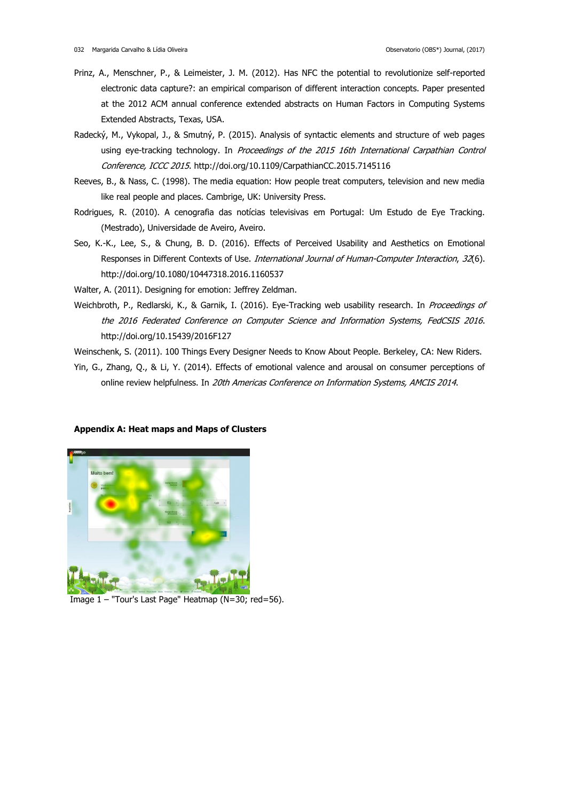- Prinz, A., Menschner, P., & Leimeister, J. M. (2012). Has NFC the potential to revolutionize self-reported electronic data capture?: an empirical comparison of different interaction concepts. Paper presented at the 2012 ACM annual conference extended abstracts on Human Factors in Computing Systems Extended Abstracts, Texas, USA.
- Radecký, M., Vykopal, J., & Smutný, P. (2015). Analysis of syntactic elements and structure of web pages using eye-tracking technology. In Proceedings of the 2015 16th International Carpathian Control Conference, ICCC 2015. http://doi.org/10.1109/CarpathianCC.2015.7145116
- Reeves, B., & Nass, C. (1998). The media equation: How people treat computers, television and new media like real people and places. Cambrige, UK: University Press.
- Rodrigues, R. (2010). A cenografia das notícias televisivas em Portugal: Um Estudo de Eye Tracking. (Mestrado), Universidade de Aveiro, Aveiro.
- Seo, K.-K., Lee, S., & Chung, B. D. (2016). Effects of Perceived Usability and Aesthetics on Emotional Responses in Different Contexts of Use. International Journal of Human-Computer Interaction, 32(6). http://doi.org/10.1080/10447318.2016.1160537

Walter, A. (2011). Designing for emotion: Jeffrey Zeldman.

Weichbroth, P., Redlarski, K., & Garnik, I. (2016). Eye-Tracking web usability research. In Proceedings of the 2016 Federated Conference on Computer Science and Information Systems, FedCSIS 2016. http://doi.org/10.15439/2016F127

Weinschenk, S. (2011). 100 Things Every Designer Needs to Know About People. Berkeley, CA: New Riders.

Yin, G., Zhang, Q., & Li, Y. (2014). Effects of emotional valence and arousal on consumer perceptions of online review helpfulness. In 20th Americas Conference on Information Systems, AMCIS 2014.

## **Appendix A: Heat maps and Maps of Clusters**



Image 1 – "Tour's Last Page" Heatmap (N=30; red=56).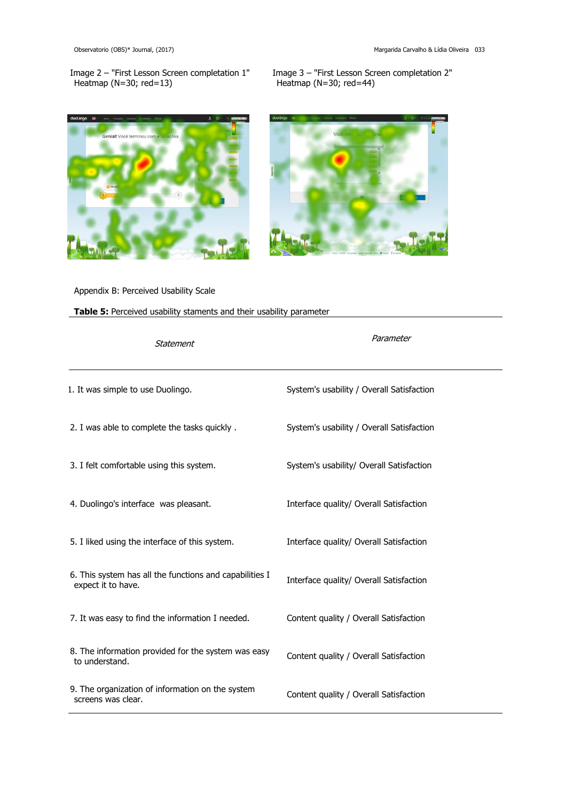Image 2 – "First Lesson Screen completation 1" Heatmap (N=30; red=13)

Image 3 – "First Lesson Screen completation 2" Heatmap (N=30; red=44)





# Appendix B: Perceived Usability Scale

**Table 5:** Perceived usability staments and their usability parameter

| Statement                                                                     | Parameter                                 |  |  |  |
|-------------------------------------------------------------------------------|-------------------------------------------|--|--|--|
| 1. It was simple to use Duolingo.                                             | System's usability / Overall Satisfaction |  |  |  |
| 2. I was able to complete the tasks quickly.                                  | System's usability / Overall Satisfaction |  |  |  |
| 3. I felt comfortable using this system.                                      | System's usability/ Overall Satisfaction  |  |  |  |
| 4. Duolingo's interface was pleasant.                                         | Interface quality/ Overall Satisfaction   |  |  |  |
| 5. I liked using the interface of this system.                                | Interface quality/ Overall Satisfaction   |  |  |  |
| 6. This system has all the functions and capabilities I<br>expect it to have. | Interface quality/ Overall Satisfaction   |  |  |  |
| 7. It was easy to find the information I needed.                              | Content quality / Overall Satisfaction    |  |  |  |
| 8. The information provided for the system was easy<br>to understand.         | Content quality / Overall Satisfaction    |  |  |  |
| 9. The organization of information on the system<br>screens was clear.        | Content quality / Overall Satisfaction    |  |  |  |